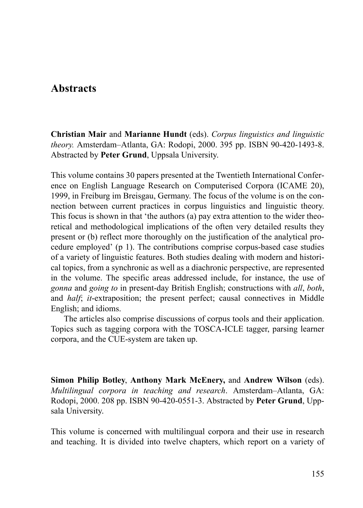## **Abstracts**

**Christian Mair** and **Marianne Hundt** (eds). *Corpus linguistics and linguistic theory.* Amsterdam–Atlanta, GA: Rodopi, 2000. 395 pp. ISBN 90-420-1493-8. Abstracted by **Peter Grund**, Uppsala University.

This volume contains 30 papers presented at the Twentieth International Conference on English Language Research on Computerised Corpora (ICAME 20), 1999, in Freiburg im Breisgau, Germany. The focus of the volume is on the connection between current practices in corpus linguistics and linguistic theory. This focus is shown in that 'the authors (a) pay extra attention to the wider theoretical and methodological implications of the often very detailed results they present or (b) reflect more thoroughly on the justification of the analytical procedure employed' (p 1). The contributions comprise corpus-based case studies of a variety of linguistic features. Both studies dealing with modern and historical topics, from a synchronic as well as a diachronic perspective, are represented in the volume. The specific areas addressed include, for instance, the use of *gonna* and *going to* in present-day British English; constructions with *all*, *both*, and *half*; *it*-extraposition; the present perfect; causal connectives in Middle English; and idioms.

The articles also comprise discussions of corpus tools and their application. Topics such as tagging corpora with the TOSCA-ICLE tagger, parsing learner corpora, and the CUE-system are taken up.

**Simon Philip Botley**, **Anthony Mark McEnery,** and **Andrew Wilson** (eds). *Multilingual corpora in teaching and research*. Amsterdam–Atlanta, GA: Rodopi, 2000. 208 pp. ISBN 90-420-0551-3. Abstracted by **Peter Grund**, Uppsala University.

This volume is concerned with multilingual corpora and their use in research and teaching. It is divided into twelve chapters, which report on a variety of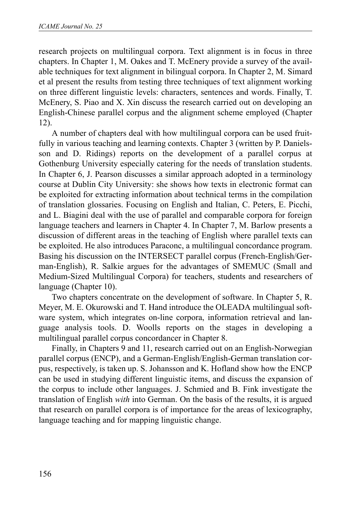research projects on multilingual corpora. Text alignment is in focus in three chapters. In Chapter 1, M. Oakes and T. McEnery provide a survey of the available techniques for text alignment in bilingual corpora. In Chapter 2, M. Simard et al present the results from testing three techniques of text alignment working on three different linguistic levels: characters, sentences and words. Finally, T. McEnery, S. Piao and X. Xin discuss the research carried out on developing an English-Chinese parallel corpus and the alignment scheme employed (Chapter 12).

A number of chapters deal with how multilingual corpora can be used fruitfully in various teaching and learning contexts. Chapter 3 (written by P. Danielsson and D. Ridings) reports on the development of a parallel corpus at Gothenburg University especially catering for the needs of translation students. In Chapter 6, J. Pearson discusses a similar approach adopted in a terminology course at Dublin City University: she shows how texts in electronic format can be exploited for extracting information about technical terms in the compilation of translation glossaries. Focusing on English and Italian, C. Peters, E. Picchi, and L. Biagini deal with the use of parallel and comparable corpora for foreign language teachers and learners in Chapter 4. In Chapter 7, M. Barlow presents a discussion of different areas in the teaching of English where parallel texts can be exploited. He also introduces Paraconc, a multilingual concordance program. Basing his discussion on the INTERSECT parallel corpus (French-English/German-English), R. Salkie argues for the advantages of SMEMUC (Small and Medium-Sized Multilingual Corpora) for teachers, students and researchers of language (Chapter 10).

Two chapters concentrate on the development of software. In Chapter 5, R. Meyer, M. E. Okurowski and T. Hand introduce the OLEADA multilingual software system, which integrates on-line corpora, information retrieval and language analysis tools. D. Woolls reports on the stages in developing a multilingual parallel corpus concordancer in Chapter 8.

Finally, in Chapters 9 and 11, research carried out on an English-Norwegian parallel corpus (ENCP), and a German-English/English-German translation corpus, respectively, is taken up. S. Johansson and K. Hofland show how the ENCP can be used in studying different linguistic items, and discuss the expansion of the corpus to include other languages. J. Schmied and B. Fink investigate the translation of English *with* into German. On the basis of the results, it is argued that research on parallel corpora is of importance for the areas of lexicography, language teaching and for mapping linguistic change.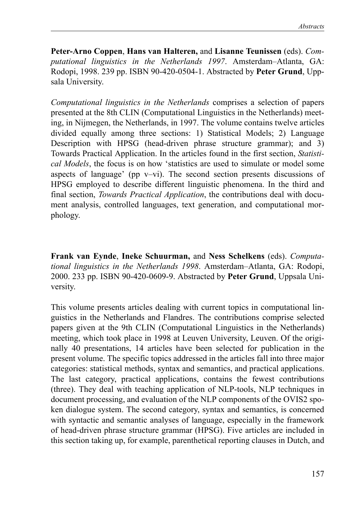**Peter-Arno Coppen**, **Hans van Halteren,** and **Lisanne Teunissen** (eds). *Computational linguistics in the Netherlands 1997*. Amsterdam–Atlanta, GA: Rodopi, 1998. 239 pp. ISBN 90-420-0504-1. Abstracted by **Peter Grund**, Uppsala University.

*Computational linguistics in the Netherlands* comprises a selection of papers presented at the 8th CLIN (Computational Linguistics in the Netherlands) meeting, in Nijmegen, the Netherlands, in 1997. The volume contains twelve articles divided equally among three sections: 1) Statistical Models; 2) Language Description with HPSG (head-driven phrase structure grammar); and 3) Towards Practical Application. In the articles found in the first section, *Statistical Models*, the focus is on how 'statistics are used to simulate or model some aspects of language' (pp  $v-vi$ ). The second section presents discussions of HPSG employed to describe different linguistic phenomena. In the third and final section, *Towards Practical Application*, the contributions deal with document analysis, controlled languages, text generation, and computational morphology.

**Frank van Eynde**, **Ineke Schuurman,** and **Ness Schelkens** (eds). *Computational linguistics in the Netherlands 1998*. Amsterdam–Atlanta, GA: Rodopi, 2000. 233 pp. ISBN 90-420-0609-9. Abstracted by **Peter Grund**, Uppsala University.

This volume presents articles dealing with current topics in computational linguistics in the Netherlands and Flandres. The contributions comprise selected papers given at the 9th CLIN (Computational Linguistics in the Netherlands) meeting, which took place in 1998 at Leuven University, Leuven. Of the originally 40 presentations, 14 articles have been selected for publication in the present volume. The specific topics addressed in the articles fall into three major categories: statistical methods, syntax and semantics, and practical applications. The last category, practical applications, contains the fewest contributions (three). They deal with teaching application of NLP-tools, NLP techniques in document processing, and evaluation of the NLP components of the OVIS2 spoken dialogue system. The second category, syntax and semantics, is concerned with syntactic and semantic analyses of language, especially in the framework of head-driven phrase structure grammar (HPSG). Five articles are included in this section taking up, for example, parenthetical reporting clauses in Dutch, and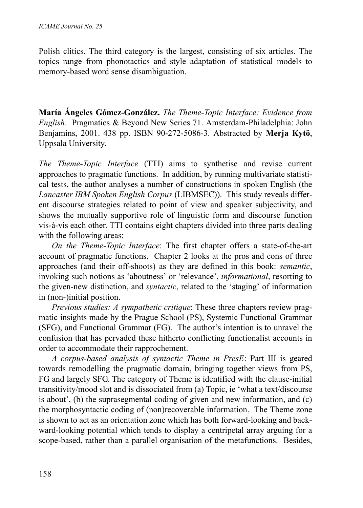Polish clitics. The third category is the largest, consisting of six articles. The topics range from phonotactics and style adaptation of statistical models to memory-based word sense disambiguation.

**María Ángeles Gómez-González.** *The Theme-Topic Interface: Evidence from English*. Pragmatics & Beyond New Series 71. Amsterdam-Philadelphia: John Benjamins, 2001. 438 pp. ISBN 90-272-5086-3. Abstracted by **Merja Kytö**, Uppsala University.

*The Theme-Topic Interface* (TTI) aims to synthetise and revise current approaches to pragmatic functions. In addition, by running multivariate statistical tests, the author analyses a number of constructions in spoken English (the *Lancaster IBM Spoken English Corpus* (LIBMSEC)). This study reveals different discourse strategies related to point of view and speaker subjectivity, and shows the mutually supportive role of linguistic form and discourse function vis-à-vis each other. TTI contains eight chapters divided into three parts dealing with the following areas:

*On the Theme-Topic Interface*: The first chapter offers a state-of-the-art account of pragmatic functions. Chapter 2 looks at the pros and cons of three approaches (and their off-shoots) as they are defined in this book: *semantic*, invoking such notions as 'aboutness' or 'relevance', *informational*, resorting to the given-new distinction, and *syntactic*, related to the 'staging' of information in (non-)initial position.

*Previous studies: A sympathetic critique*: These three chapters review pragmatic insights made by the Prague School (PS), Systemic Functional Grammar (SFG), and Functional Grammar (FG). The author's intention is to unravel the confusion that has pervaded these hitherto conflicting functionalist accounts in order to accommodate their rapprochement.

*A corpus-based analysis of syntactic Theme in PresE*: Part III is geared towards remodelling the pragmatic domain, bringing together views from PS, FG and largely SFG. The category of Theme is identified with the clause-initial transitivity/mood slot and is dissociated from (a) Topic, ie 'what a text/discourse is about', (b) the suprasegmental coding of given and new information, and (c) the morphosyntactic coding of (non)recoverable information. The Theme zone is shown to act as an orientation zone which has both forward-looking and backward-looking potential which tends to display a centripetal array arguing for a scope-based, rather than a parallel organisation of the metafunctions. Besides,